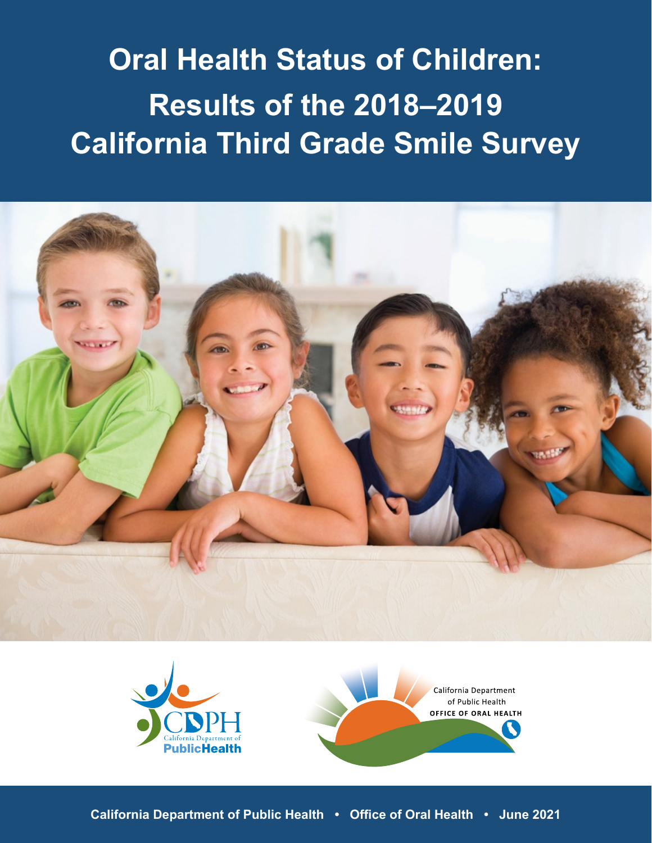# **Oral Health Status of Children: Results of the 2018–2019 California Third Grade Smile Survey**







**Oral Health Status of Children: Results of the 2018–2019 California Third Grade Smile Survey | 1 California Department of Public Health • Office of Oral Health • June 2021**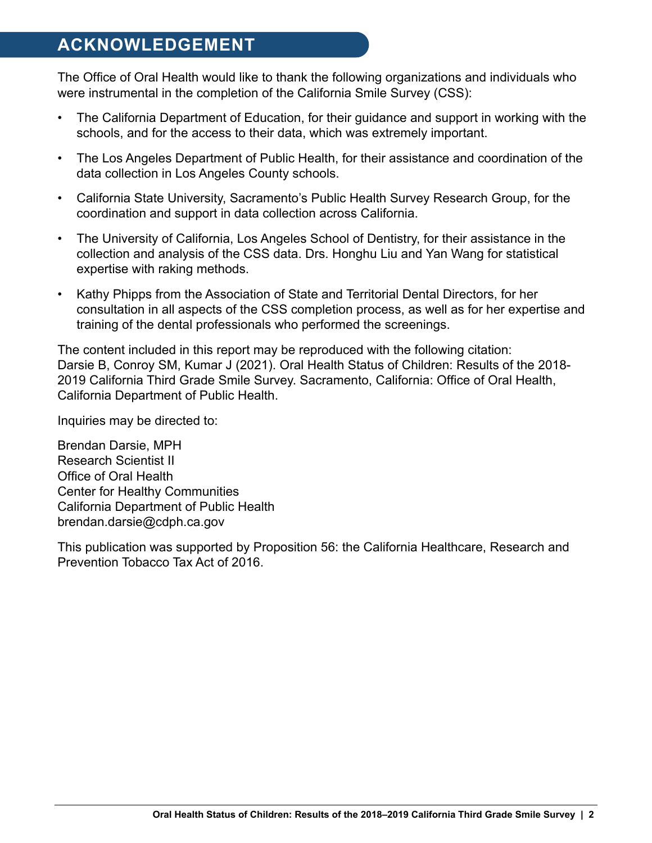# <span id="page-1-0"></span>**ACKNOWLEDGEMENT**

The Office of Oral Health would like to thank the following organizations and individuals who were instrumental in the completion of the California Smile Survey (CSS):

- The California Department of Education, for their guidance and support in working with the schools, and for the access to their data, which was extremely important.
- The Los Angeles Department of Public Health, for their assistance and coordination of the data collection in Los Angeles County schools.
- California State University, Sacramento's Public Health Survey Research Group, for the coordination and support in data collection across California.
- The University of California, Los Angeles School of Dentistry, for their assistance in the collection and analysis of the CSS data. Drs. Honghu Liu and Yan Wang for statistical expertise with raking methods.
- Kathy Phipps from the Association of State and Territorial Dental Directors, for her consultation in all aspects of the CSS completion process, as well as for her expertise and training of the dental professionals who performed the screenings.

The content included in this report may be reproduced with the following citation: Darsie B, Conroy SM, Kumar J (2021). Oral Health Status of Children: Results of the 2018- 2019 California Third Grade Smile Survey. Sacramento, California: Office of Oral Health, California Department of Public Health.

Inquiries may be directed to:

Brendan Darsie, MPH Research Scientist II Office of Oral Health Center for Healthy Communities California Department of Public Health [brendan.darsie@cdph.ca.gov](brendan.darsie@cdph.gov)

This publication was supported by Proposition 56: the California Healthcare, Research and Prevention Tobacco Tax Act of 2016.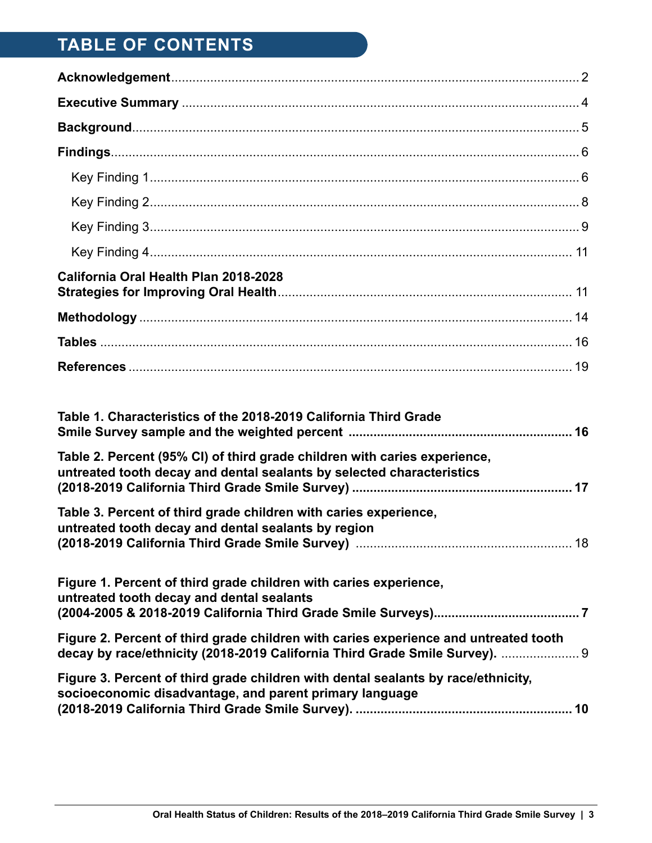# **TABLE OF CONTENTS**

| California Oral Health Plan 2018-2028                                                                                                              |  |
|----------------------------------------------------------------------------------------------------------------------------------------------------|--|
|                                                                                                                                                    |  |
|                                                                                                                                                    |  |
|                                                                                                                                                    |  |
| Table 1. Characteristics of the 2018-2019 California Third Grade                                                                                   |  |
| Table 2. Percent (95% CI) of third grade children with caries experience,<br>untreated tooth decay and dental sealants by selected characteristics |  |

| Table 3. Percent of third grade children with caries experience, |  |
|------------------------------------------------------------------|--|
| untreated tooth decay and dental sealants by region              |  |
|                                                                  |  |

**[\(2018-2019 California Third Grade Smile Survey\)](#page-16-0) .............................................................. 17**

| Figure 1. Percent of third grade children with caries experience,<br>untreated tooth decay and dental sealants                                                      |  |
|---------------------------------------------------------------------------------------------------------------------------------------------------------------------|--|
| Figure 2. Percent of third grade children with caries experience and untreated tooth<br>decay by race/ethnicity (2018-2019 California Third Grade Smile Survey).  9 |  |
| Figure 3. Percent of third grade children with dental sealants by race/ethnicity,<br>socioeconomic disadvantage, and parent primary language                        |  |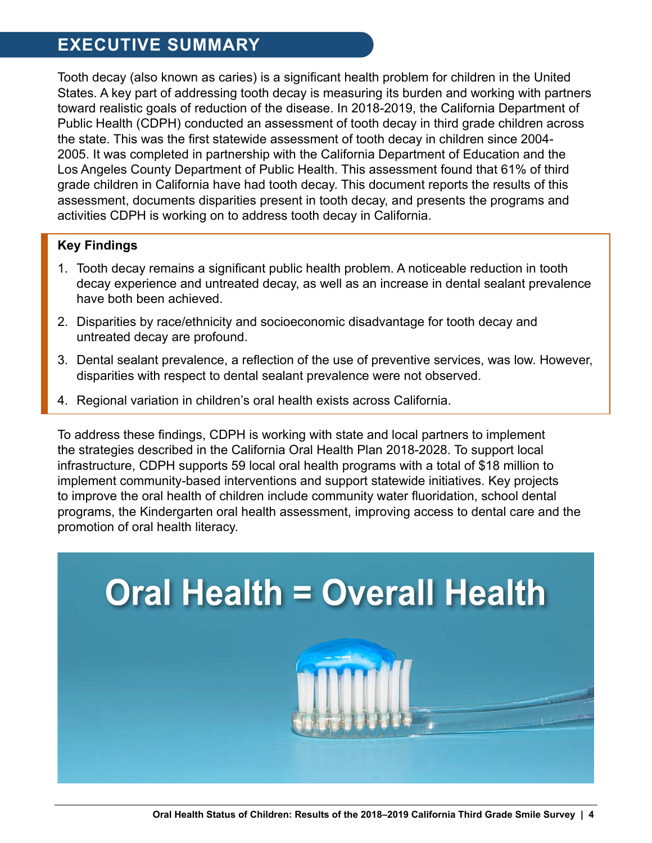# **EXECUTIVE SUMMARY**

Tooth decay (also known as caries) is a significant health problem for children in the United States. A key part of addressing tooth decay is measuring its burden and working with partners toward realistic goals of reduction of the disease. In 2018-2019, the California Department of Public Health (CDPH) conducted an assessment of tooth decay in third grade children across the state. This was the first statewide assessment of tooth decay in children since 2004- 2005. It was completed in partnership with the California Department of Education and the Los Angeles County Department of Public Health. This assessment found that 61% of third grade children in California have had tooth decay. This document reports the results of this assessment, documents disparities present in tooth decay, and presents the programs and activities CDPH is working on to address tooth decay in California.

### **Key Findings**

- 1. Tooth decay remains a significant public health problem. A noticeable reduction in tooth decay experience and untreated decay, as well as an increase in dental sealant prevalence have both been achieved.
- 2. Disparities by race/ethnicity and socioeconomic disadvantage for tooth decay and untreated decay are profound.
- 3. Dental sealant prevalence, a reflection of the use of preventive services, was low. However, disparities with respect to dental sealant prevalence were not observed.
- 4. Regional variation in children's oral health exists across California.

To address these findings, CDPH is working with state and local partners to implement the strategies described in the California Oral Health Plan 2018-2028. To support local infrastructure, CDPH supports 59 local oral health programs with a total of \$18 million to implement community-based interventions and support statewide initiatives. Key projects to improve the oral health of children include community water fluoridation, school dental programs, the Kindergarten oral health assessment, improving access to dental care and the promotion of oral health literacy.

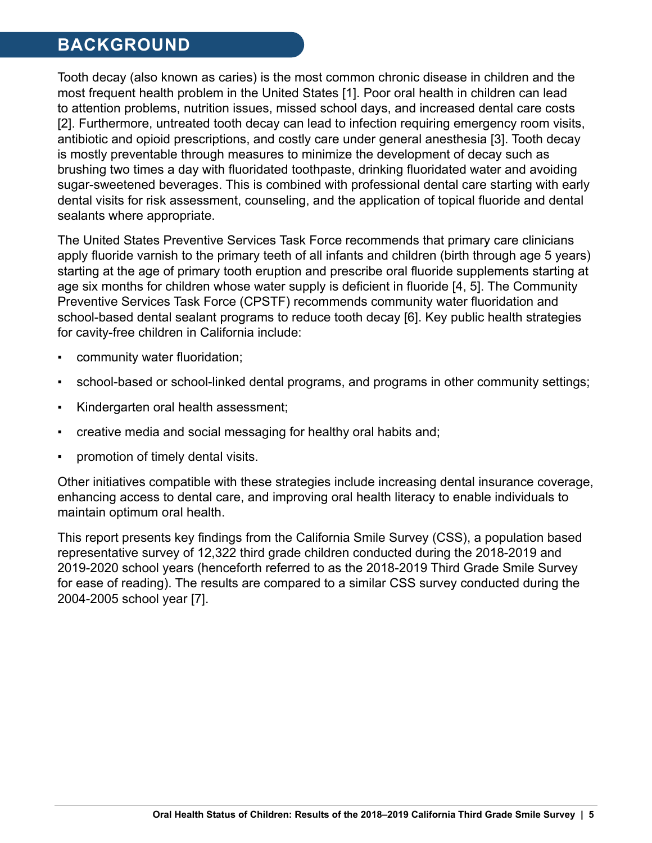# <span id="page-4-0"></span>**BACKGROUND**

Tooth decay (also known as caries) is the most common chronic disease in children and the most frequent health problem in the United States [1]. Poor oral health in children can lead to attention problems, nutrition issues, missed school days, and increased dental care costs [2]. Furthermore, untreated tooth decay can lead to infection requiring emergency room visits, antibiotic and opioid prescriptions, and costly care under general anesthesia [3]. Tooth decay is mostly preventable through measures to minimize the development of decay such as brushing two times a day with fluoridated toothpaste, drinking fluoridated water and avoiding sugar-sweetened beverages. This is combined with professional dental care starting with early dental visits for risk assessment, counseling, and the application of topical fluoride and dental sealants where appropriate.

The United States Preventive Services Task Force recommends that primary care clinicians apply fluoride varnish to the primary teeth of all infants and children (birth through age 5 years) starting at the age of primary tooth eruption and prescribe oral fluoride supplements starting at age six months for children whose water supply is deficient in fluoride [4, 5]. The Community Preventive Services Task Force (CPSTF) recommends community water fluoridation and school-based dental sealant programs to reduce tooth decay [6]. Key public health strategies for cavity-free children in California include:

- community water fluoridation;
- school-based or school-linked dental programs, and programs in other community settings;
- Kindergarten oral health assessment;
- creative media and social messaging for healthy oral habits and;
- promotion of timely dental visits.

Other initiatives compatible with these strategies include increasing dental insurance coverage, enhancing access to dental care, and improving oral health literacy to enable individuals to maintain optimum oral health.

This report presents key findings from the California Smile Survey (CSS), a population based representative survey of 12,322 third grade children conducted during the 2018-2019 and 2019-2020 school years (henceforth referred to as the 2018-2019 Third Grade Smile Survey for ease of reading). The results are compared to a similar CSS survey conducted during the 2004-2005 school year [7].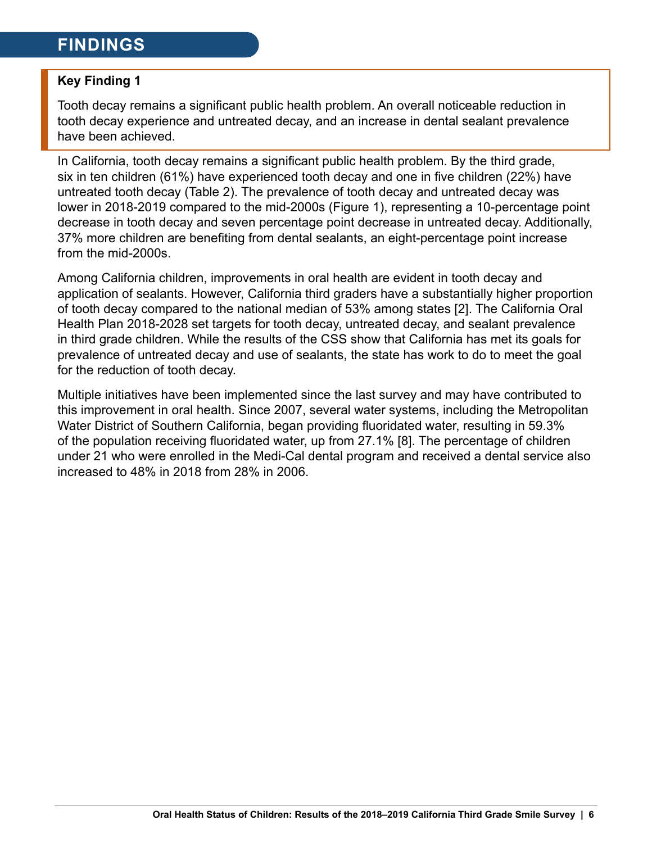# <span id="page-5-0"></span>**FINDINGS**

### **Key Finding 1**

Tooth decay remains a significant public health problem. An overall noticeable reduction in tooth decay experience and untreated decay, and an increase in dental sealant prevalence have been achieved.

In California, tooth decay remains a significant public health problem. By the third grade, six in ten children (61%) have experienced tooth decay and one in five children (22%) have untreated tooth decay (Table 2). The prevalence of tooth decay and untreated decay was lower in 2018-2019 compared to the mid-2000s (Figure 1), representing a 10-percentage point decrease in tooth decay and seven percentage point decrease in untreated decay. Additionally, 37% more children are benefiting from dental sealants, an eight-percentage point increase from the mid-2000s.

Among California children, improvements in oral health are evident in tooth decay and application of sealants. However, California third graders have a substantially higher proportion of tooth decay compared to the national median of 53% among states [2]. The California Oral Health Plan 2018-2028 set targets for tooth decay, untreated decay, and sealant prevalence in third grade children. While the results of the CSS show that California has met its goals for prevalence of untreated decay and use of sealants, the state has work to do to meet the goal for the reduction of tooth decay.

Multiple initiatives have been implemented since the last survey and may have contributed to this improvement in oral health. Since 2007, several water systems, including the Metropolitan Water District of Southern California, began providing fluoridated water, resulting in 59.3% of the population receiving fluoridated water, up from 27.1% [8]. The percentage of children under 21 who were enrolled in the Medi-Cal dental program and received a dental service also increased to 48% in 2018 from 28% in 2006.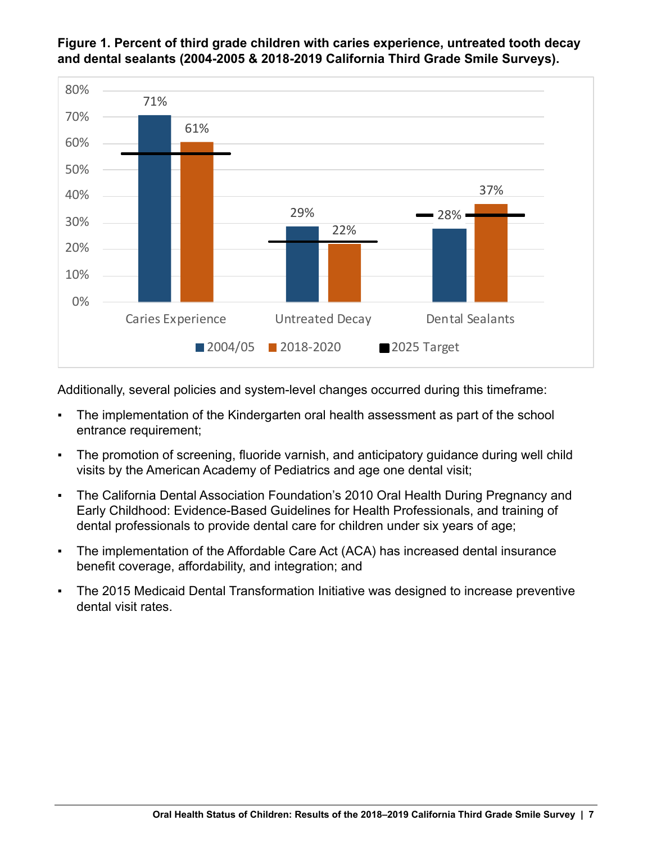

#### <span id="page-6-0"></span>**Figure 1. Percent of third grade children with caries experience, untreated tooth decay and dental sealants (2004-2005 & 2018-2019 California Third Grade Smile Surveys).**

Additionally, several policies and system-level changes occurred during this timeframe:

- The implementation of the Kindergarten oral health assessment as part of the school entrance requirement;
- The promotion of screening, fluoride varnish, and anticipatory guidance during well child visits by the American Academy of Pediatrics and age one dental visit;
- The California Dental Association Foundation's 2010 Oral Health During Pregnancy and Early Childhood: Evidence‑Based Guidelines for Health Professionals, and training of dental professionals to provide dental care for children under six years of age;
- The implementation of the Affordable Care Act (ACA) has increased dental insurance benefit coverage, affordability, and integration; and
- **The 2015 Medicaid Dental Transformation Initiative was designed to increase preventive** dental visit rates.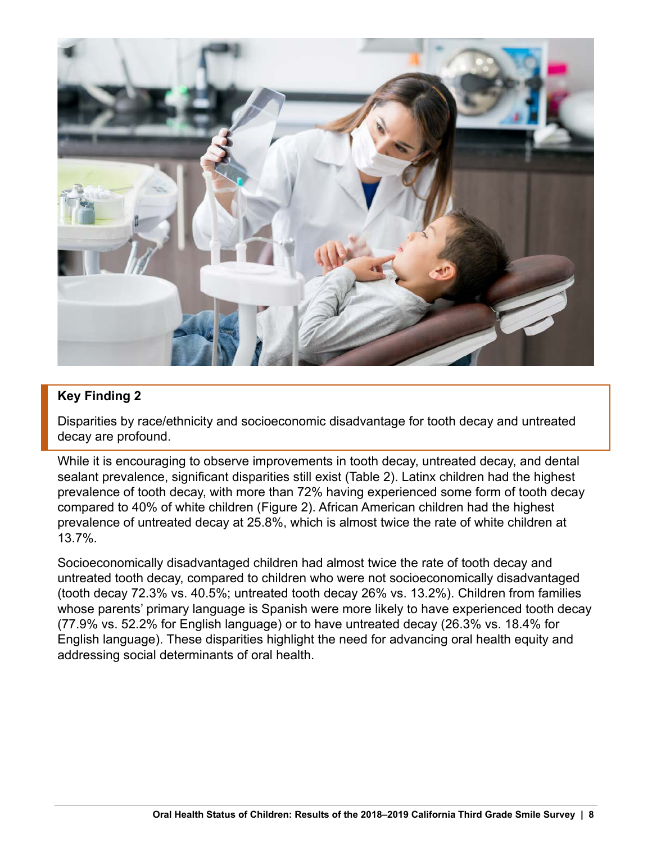<span id="page-7-0"></span>

### **Key Finding 2**

Disparities by race/ethnicity and socioeconomic disadvantage for tooth decay and untreated decay are profound.

While it is encouraging to observe improvements in tooth decay, untreated decay, and dental sealant prevalence, significant disparities still exist (Table 2). Latinx children had the highest prevalence of tooth decay, with more than 72% having experienced some form of tooth decay compared to 40% of white children (Figure 2). African American children had the highest prevalence of untreated decay at 25.8%, which is almost twice the rate of white children at 13.7%.

Socioeconomically disadvantaged children had almost twice the rate of tooth decay and untreated tooth decay, compared to children who were not socioeconomically disadvantaged (tooth decay 72.3% vs. 40.5%; untreated tooth decay 26% vs. 13.2%). Children from families whose parents' primary language is Spanish were more likely to have experienced tooth decay (77.9% vs. 52.2% for English language) or to have untreated decay (26.3% vs. 18.4% for English language). These disparities highlight the need for advancing oral health equity and addressing social determinants of oral health.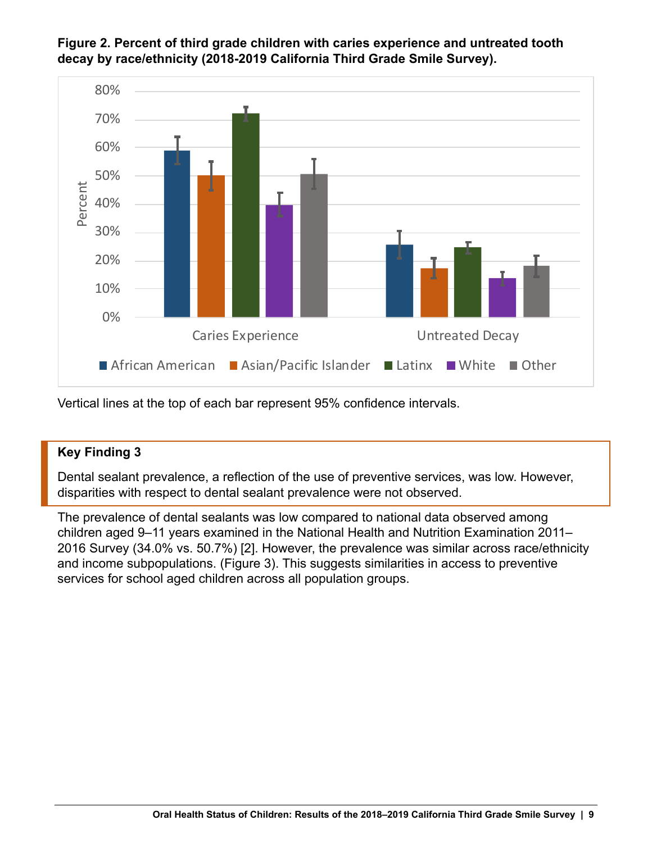

#### <span id="page-8-0"></span>**Figure 2. Percent of third grade children with caries experience and untreated tooth decay by race/ethnicity (2018-2019 California Third Grade Smile Survey).**

Vertical lines at the top of each bar represent 95% confidence intervals.

### **Key Finding 3**

Dental sealant prevalence, a reflection of the use of preventive services, was low. However, disparities with respect to dental sealant prevalence were not observed.

The prevalence of dental sealants was low compared to national data observed among children aged 9–11 years examined in the National Health and Nutrition Examination 2011– 2016 Survey (34.0% vs. 50.7%) [2]. However, the prevalence was similar across race/ethnicity and income subpopulations. (Figure 3). This suggests similarities in access to preventive services for school aged children across all population groups.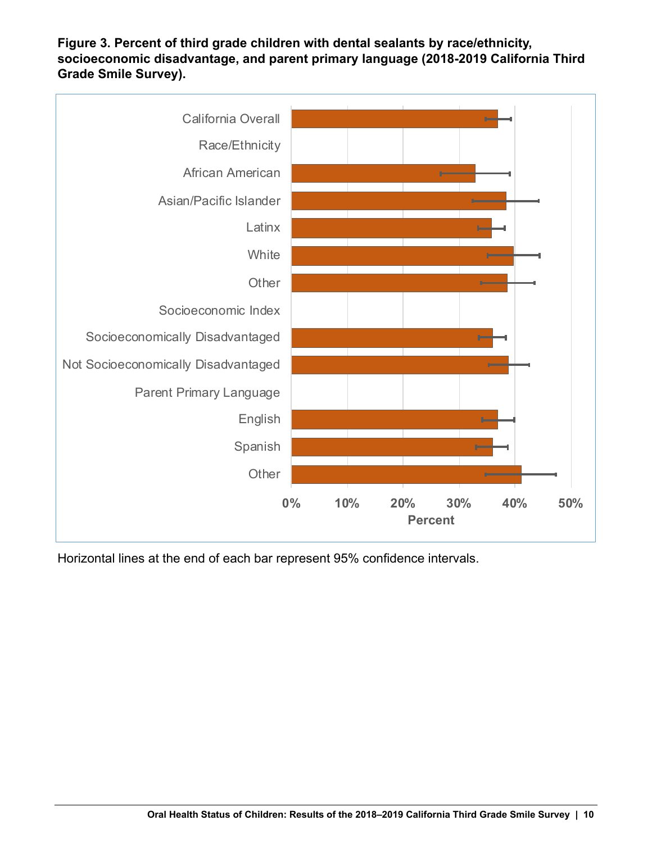<span id="page-9-0"></span>**Figure 3. Percent of third grade children with dental sealants by race/ethnicity, socioeconomic disadvantage, and parent primary language (2018-2019 California Third Grade Smile Survey).**



Horizontal lines at the end of each bar represent 95% confidence intervals.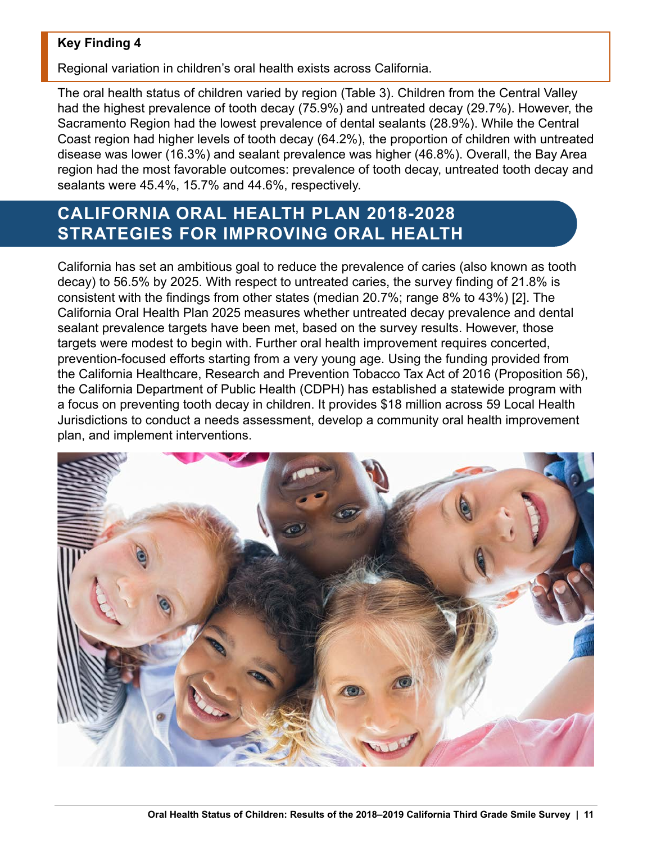### <span id="page-10-0"></span>**Key Finding 4**

Regional variation in children's oral health exists across California.

The oral health status of children varied by region (Table 3). Children from the Central Valley had the highest prevalence of tooth decay (75.9%) and untreated decay (29.7%). However, the Sacramento Region had the lowest prevalence of dental sealants (28.9%). While the Central Coast region had higher levels of tooth decay (64.2%), the proportion of children with untreated disease was lower (16.3%) and sealant prevalence was higher (46.8%). Overall, the Bay Area region had the most favorable outcomes: prevalence of tooth decay, untreated tooth decay and sealants were 45.4%, 15.7% and 44.6%, respectively.

# **CALIFORNIA ORAL HEALTH PLAN 2018-2028 STRATEGIES FOR IMPROVING ORAL HEALTH**

California has set an ambitious goal to reduce the prevalence of caries (also known as tooth decay) to 56.5% by 2025. With respect to untreated caries, the survey finding of 21.8% is consistent with the findings from other states (median 20.7%; range 8% to 43%) [2]. The California Oral Health Plan 2025 measures whether untreated decay prevalence and dental sealant prevalence targets have been met, based on the survey results. However, those targets were modest to begin with. Further oral health improvement requires concerted, prevention-focused efforts starting from a very young age. Using the funding provided from the California Healthcare, Research and Prevention Tobacco Tax Act of 2016 (Proposition 56), the California Department of Public Health (CDPH) has established a statewide program with a focus on preventing tooth decay in children. It provides \$18 million across 59 Local Health Jurisdictions to conduct a needs assessment, develop a community oral health improvement plan, and implement interventions.

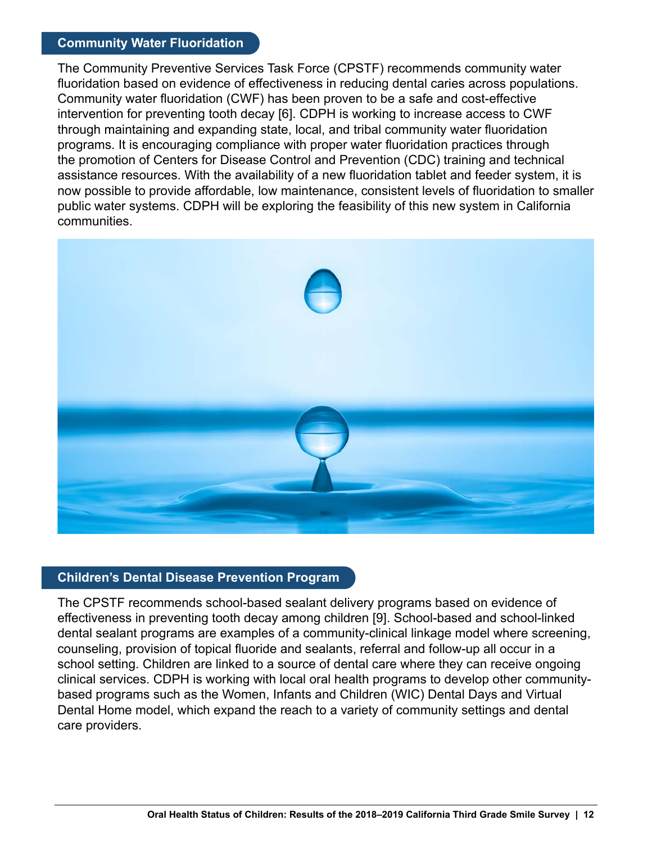#### **Community Water Fluoridation**

The Community Preventive Services Task Force (CPSTF) recommends community water fluoridation based on evidence of effectiveness in reducing dental caries across populations. Community water fluoridation (CWF) has been proven to be a safe and cost-effective intervention for preventing tooth decay [6]. CDPH is working to increase access to CWF through maintaining and expanding state, local, and tribal community water fluoridation programs. It is encouraging compliance with proper water fluoridation practices through the promotion of Centers for Disease Control and Prevention (CDC) training and technical assistance resources. With the availability of a new fluoridation tablet and feeder system, it is now possible to provide affordable, low maintenance, consistent levels of fluoridation to smaller public water systems. CDPH will be exploring the feasibility of this new system in California communities.



#### **Children's Dental Disease Prevention Program**

The CPSTF recommends school-based sealant delivery programs based on evidence of effectiveness in preventing tooth decay among children [9]. School-based and school-linked dental sealant programs are examples of a community-clinical linkage model where screening, counseling, provision of topical fluoride and sealants, referral and follow-up all occur in a school setting. Children are linked to a source of dental care where they can receive ongoing clinical services. CDPH is working with local oral health programs to develop other communitybased programs such as the Women, Infants and Children (WIC) Dental Days and Virtual Dental Home model, which expand the reach to a variety of community settings and dental care providers.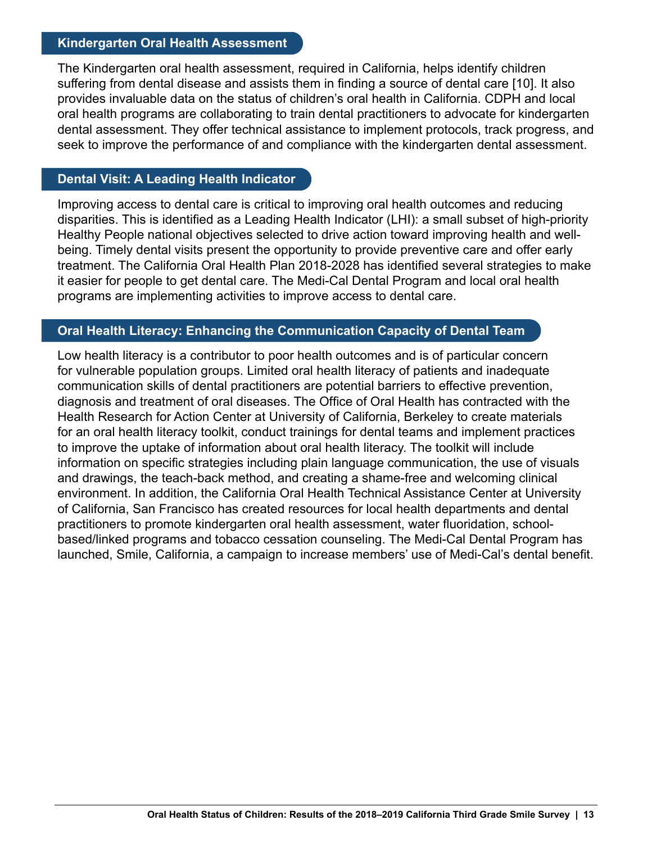#### **Kindergarten Oral Health Assessment**

The Kindergarten oral health assessment, required in California, helps identify children suffering from dental disease and assists them in finding a source of dental care [10]. It also provides invaluable data on the status of children's oral health in California. CDPH and local oral health programs are collaborating to train dental practitioners to advocate for kindergarten dental assessment. They offer technical assistance to implement protocols, track progress, and seek to improve the performance of and compliance with the kindergarten dental assessment.

#### **Dental Visit: A Leading Health Indicator**

Improving access to dental care is critical to improving oral health outcomes and reducing disparities. This is identified as a Leading Health Indicator (LHI): a small subset of high-priority Healthy People national objectives selected to drive action toward improving health and wellbeing. Timely dental visits present the opportunity to provide preventive care and offer early treatment. The California Oral Health Plan 2018-2028 has identified several strategies to make it easier for people to get dental care. The Medi-Cal Dental Program and local oral health programs are implementing activities to improve access to dental care.

#### **Oral Health Literacy: Enhancing the Communication Capacity of Dental Team**

Low health literacy is a contributor to poor health outcomes and is of particular concern for vulnerable population groups. Limited oral health literacy of patients and inadequate communication skills of dental practitioners are potential barriers to effective prevention, diagnosis and treatment of oral diseases. The Office of Oral Health has contracted with the Health Research for Action Center at University of California, Berkeley to create materials for an oral health literacy toolkit, conduct trainings for dental teams and implement practices to improve the uptake of information about oral health literacy. The toolkit will include information on specific strategies including plain language communication, the use of visuals and drawings, the teach-back method, and creating a shame-free and welcoming clinical environment. In addition, the California Oral Health Technical Assistance Center at University of California, San Francisco has created resources for local health departments and dental practitioners to promote kindergarten oral health assessment, water fluoridation, schoolbased/linked programs and tobacco cessation counseling. The Medi-Cal Dental Program has launched, Smile, California, a campaign to increase members' use of Medi-Cal's dental benefit.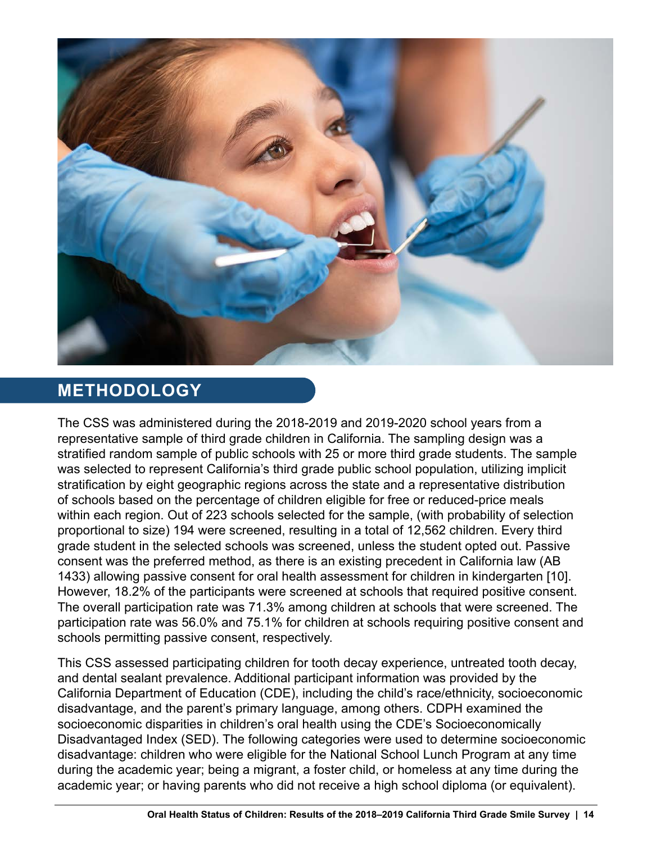<span id="page-13-0"></span>

# **METHODOLOGY**

The CSS was administered during the 2018-2019 and 2019-2020 school years from a representative sample of third grade children in California. The sampling design was a stratified random sample of public schools with 25 or more third grade students. The sample was selected to represent California's third grade public school population, utilizing implicit stratification by eight geographic regions across the state and a representative distribution of schools based on the percentage of children eligible for free or reduced-price meals within each region. Out of 223 schools selected for the sample, (with probability of selection proportional to size) 194 were screened, resulting in a total of 12,562 children. Every third grade student in the selected schools was screened, unless the student opted out. Passive consent was the preferred method, as there is an existing precedent in California law (AB 1433) allowing passive consent for oral health assessment for children in kindergarten [10]. However, 18.2% of the participants were screened at schools that required positive consent. The overall participation rate was 71.3% among children at schools that were screened. The participation rate was 56.0% and 75.1% for children at schools requiring positive consent and schools permitting passive consent, respectively.

This CSS assessed participating children for tooth decay experience, untreated tooth decay, and dental sealant prevalence. Additional participant information was provided by the California Department of Education (CDE), including the child's race/ethnicity, socioeconomic disadvantage, and the parent's primary language, among others. CDPH examined the socioeconomic disparities in children's oral health using the CDE's Socioeconomically Disadvantaged Index (SED). The following categories were used to determine socioeconomic disadvantage: children who were eligible for the National School Lunch Program at any time during the academic year; being a migrant, a foster child, or homeless at any time during the academic year; or having parents who did not receive a high school diploma (or equivalent).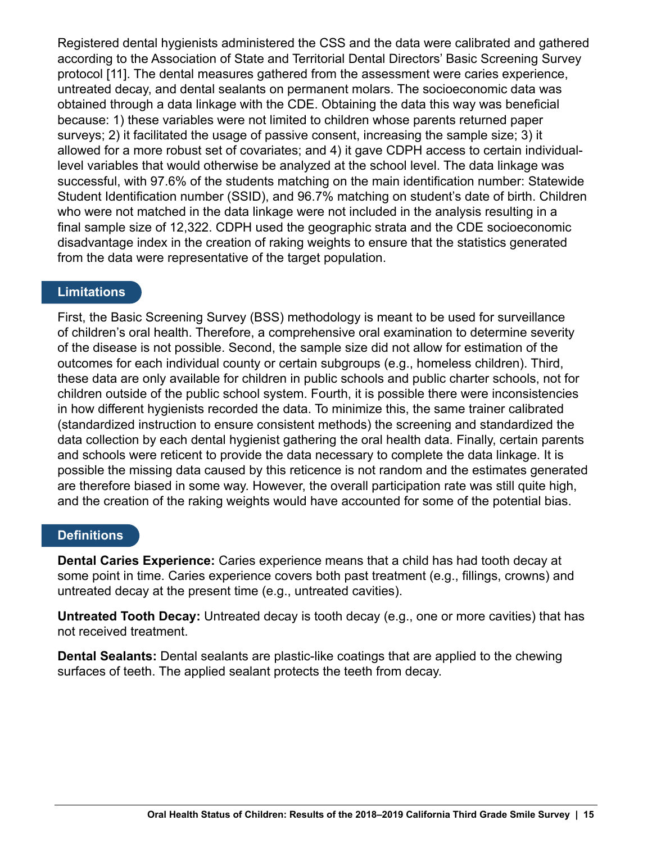Registered dental hygienists administered the CSS and the data were calibrated and gathered according to the Association of State and Territorial Dental Directors' Basic Screening Survey protocol [11]. The dental measures gathered from the assessment were caries experience, untreated decay, and dental sealants on permanent molars. The socioeconomic data was obtained through a data linkage with the CDE. Obtaining the data this way was beneficial because: 1) these variables were not limited to children whose parents returned paper surveys; 2) it facilitated the usage of passive consent, increasing the sample size; 3) it allowed for a more robust set of covariates; and 4) it gave CDPH access to certain individuallevel variables that would otherwise be analyzed at the school level. The data linkage was successful, with 97.6% of the students matching on the main identification number: Statewide Student Identification number (SSID), and 96.7% matching on student's date of birth. Children who were not matched in the data linkage were not included in the analysis resulting in a final sample size of 12,322. CDPH used the geographic strata and the CDE socioeconomic disadvantage index in the creation of raking weights to ensure that the statistics generated from the data were representative of the target population.

### **Limitations**

First, the Basic Screening Survey (BSS) methodology is meant to be used for surveillance of children's oral health. Therefore, a comprehensive oral examination to determine severity of the disease is not possible. Second, the sample size did not allow for estimation of the outcomes for each individual county or certain subgroups (e.g., homeless children). Third, these data are only available for children in public schools and public charter schools, not for children outside of the public school system. Fourth, it is possible there were inconsistencies in how different hygienists recorded the data. To minimize this, the same trainer calibrated (standardized instruction to ensure consistent methods) the screening and standardized the data collection by each dental hygienist gathering the oral health data. Finally, certain parents and schools were reticent to provide the data necessary to complete the data linkage. It is possible the missing data caused by this reticence is not random and the estimates generated are therefore biased in some way. However, the overall participation rate was still quite high, and the creation of the raking weights would have accounted for some of the potential bias.

#### **Definitions**

**Dental Caries Experience:** Caries experience means that a child has had tooth decay at some point in time. Caries experience covers both past treatment (e.g., fillings, crowns) and untreated decay at the present time (e.g., untreated cavities).

**Untreated Tooth Decay:** Untreated decay is tooth decay (e.g., one or more cavities) that has not received treatment.

**Dental Sealants:** Dental sealants are plastic-like coatings that are applied to the chewing surfaces of teeth. The applied sealant protects the teeth from decay.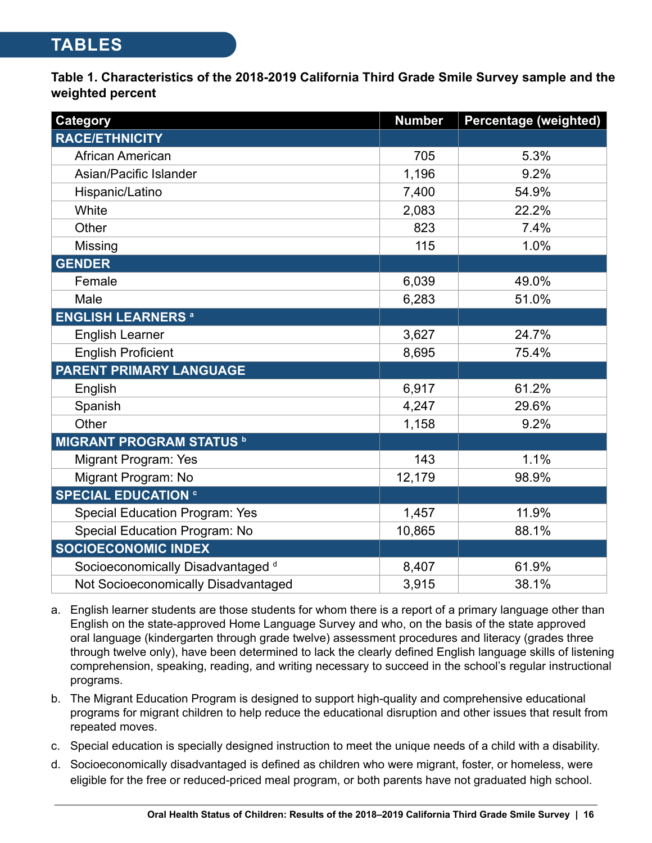# <span id="page-15-0"></span>**TABLES**

**Table 1. Characteristics of the 2018-2019 California Third Grade Smile Survey sample and the weighted percent** 

| <b>Category</b>                              | <b>Number</b> | <b>Percentage (weighted)</b> |
|----------------------------------------------|---------------|------------------------------|
| <b>RACE/ETHNICITY</b>                        |               |                              |
| African American                             | 705           | 5.3%                         |
| Asian/Pacific Islander                       | 1,196         | 9.2%                         |
| Hispanic/Latino                              | 7,400         | 54.9%                        |
| White                                        | 2,083         | 22.2%                        |
| Other                                        | 823           | 7.4%                         |
| Missing                                      | 115           | 1.0%                         |
| <b>GENDER</b>                                |               |                              |
| Female                                       | 6,039         | 49.0%                        |
| Male                                         | 6,283         | 51.0%                        |
| <b>ENGLISH LEARNERS a</b>                    |               |                              |
| <b>English Learner</b>                       | 3,627         | 24.7%                        |
| <b>English Proficient</b>                    | 8,695         | 75.4%                        |
| PARENT PRIMARY LANGUAGE                      |               |                              |
| English                                      | 6,917         | 61.2%                        |
| Spanish                                      | 4,247         | 29.6%                        |
| Other                                        | 1,158         | 9.2%                         |
| <b>MIGRANT PROGRAM STATUS b</b>              |               |                              |
| Migrant Program: Yes                         | 143           | 1.1%                         |
| Migrant Program: No                          | 12,179        | 98.9%                        |
| <b>SPECIAL EDUCATION G</b>                   |               |                              |
| <b>Special Education Program: Yes</b>        | 1,457         | 11.9%                        |
| Special Education Program: No                | 10,865        | 88.1%                        |
| <b>SOCIOECONOMIC INDEX</b>                   |               |                              |
| Socioeconomically Disadvantaged <sup>d</sup> | 8,407         | 61.9%                        |
| Not Socioeconomically Disadvantaged          | 3,915         | 38.1%                        |

- a. English learner students are those students for whom there is a report of a primary language other than English on the state-approved Home Language Survey and who, on the basis of the state approved oral language (kindergarten through grade twelve) assessment procedures and literacy (grades three through twelve only), have been determined to lack the clearly defined English language skills of listening comprehension, speaking, reading, and writing necessary to succeed in the school's regular instructional programs.
- b. The Migrant Education Program is designed to support high-quality and comprehensive educational programs for migrant children to help reduce the educational disruption and other issues that result from repeated moves.
- c. Special education is specially designed instruction to meet the unique needs of a child with a disability.
- d. Socioeconomically disadvantaged is defined as children who were migrant, foster, or homeless, were eligible for the free or reduced-priced meal program, or both parents have not graduated high school.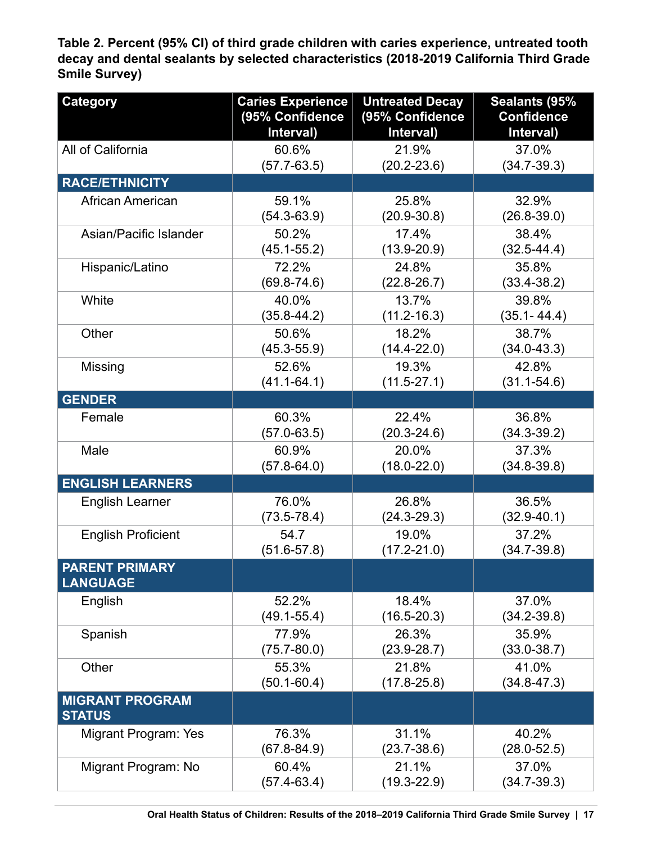<span id="page-16-0"></span>**Table 2. Percent (95% CI) of third grade children with caries experience, untreated tooth decay and dental sealants by selected characteristics (2018-2019 California Third Grade Smile Survey)**

| <b>Category</b>                          | <b>Caries Experience</b><br>(95% Confidence<br>Interval) | <b>Untreated Decay</b><br>(95% Confidence<br>Interval) | Sealants (95%<br><b>Confidence</b><br>Interval) |
|------------------------------------------|----------------------------------------------------------|--------------------------------------------------------|-------------------------------------------------|
| All of California                        | 60.6%                                                    | 21.9%                                                  | 37.0%                                           |
|                                          | $(57.7 - 63.5)$                                          | $(20.2 - 23.6)$                                        | $(34.7 - 39.3)$                                 |
| <b>RACE/ETHNICITY</b>                    |                                                          |                                                        |                                                 |
| African American                         | 59.1%                                                    | 25.8%                                                  | 32.9%                                           |
|                                          | $(54.3 - 63.9)$                                          | $(20.9 - 30.8)$                                        | $(26.8 - 39.0)$                                 |
| Asian/Pacific Islander                   | 50.2%                                                    | 17.4%                                                  | 38.4%                                           |
|                                          | $(45.1 - 55.2)$                                          | $(13.9 - 20.9)$                                        | $(32.5 - 44.4)$                                 |
| Hispanic/Latino                          | 72.2%                                                    | 24.8%                                                  | 35.8%                                           |
|                                          | $(69.8 - 74.6)$                                          | $(22.8 - 26.7)$                                        | $(33.4 - 38.2)$                                 |
| White                                    | 40.0%                                                    | 13.7%                                                  | 39.8%                                           |
|                                          | $(35.8 - 44.2)$                                          | $(11.2 - 16.3)$                                        | $(35.1 - 44.4)$                                 |
| Other                                    | 50.6%                                                    | 18.2%                                                  | 38.7%                                           |
|                                          | $(45.3 - 55.9)$                                          | $(14.4 - 22.0)$                                        | $(34.0 - 43.3)$                                 |
| Missing                                  | 52.6%                                                    | 19.3%                                                  | 42.8%                                           |
|                                          | $(41.1 - 64.1)$                                          | $(11.5 - 27.1)$                                        | $(31.1 - 54.6)$                                 |
| <b>GENDER</b>                            |                                                          |                                                        |                                                 |
| Female                                   | 60.3%                                                    | 22.4%                                                  | 36.8%                                           |
|                                          | $(57.0 - 63.5)$                                          | $(20.3 - 24.6)$                                        | $(34.3 - 39.2)$                                 |
| Male                                     | 60.9%                                                    | 20.0%                                                  | 37.3%                                           |
|                                          | $(57.8 - 64.0)$                                          | $(18.0 - 22.0)$                                        | $(34.8 - 39.8)$                                 |
| <b>ENGLISH LEARNERS</b>                  |                                                          |                                                        |                                                 |
| <b>English Learner</b>                   | 76.0%                                                    | 26.8%                                                  | 36.5%                                           |
|                                          | $(73.5 - 78.4)$                                          | $(24.3 - 29.3)$                                        | $(32.9 - 40.1)$                                 |
| <b>English Proficient</b>                | 54.7                                                     | 19.0%                                                  | 37.2%                                           |
|                                          | $(51.6 - 57.8)$                                          | $(17.2 - 21.0)$                                        | $(34.7 - 39.8)$                                 |
| <b>PARENT PRIMARY</b><br><b>LANGUAGE</b> |                                                          |                                                        |                                                 |
| English                                  | 52.2%                                                    | 18.4%                                                  | 37.0%                                           |
|                                          | $(49.1 - 55.4)$                                          | $(16.5 - 20.3)$                                        | $(34.2 - 39.8)$                                 |
| Spanish                                  | 77.9%                                                    | 26.3%                                                  | 35.9%                                           |
|                                          | $(75.7 - 80.0)$                                          | $(23.9 - 28.7)$                                        | $(33.0 - 38.7)$                                 |
| Other                                    | 55.3%                                                    | 21.8%                                                  | 41.0%                                           |
|                                          | $(50.1 - 60.4)$                                          | $(17.8 - 25.8)$                                        | $(34.8 - 47.3)$                                 |
| <b>MIGRANT PROGRAM</b><br><b>STATUS</b>  |                                                          |                                                        |                                                 |
| Migrant Program: Yes                     | 76.3%                                                    | 31.1%                                                  | 40.2%                                           |
|                                          | $(67.8 - 84.9)$                                          | $(23.7 - 38.6)$                                        | $(28.0 - 52.5)$                                 |
| Migrant Program: No                      | 60.4%                                                    | 21.1%                                                  | 37.0%                                           |
|                                          | $(57.4 - 63.4)$                                          | $(19.3 - 22.9)$                                        | $(34.7 - 39.3)$                                 |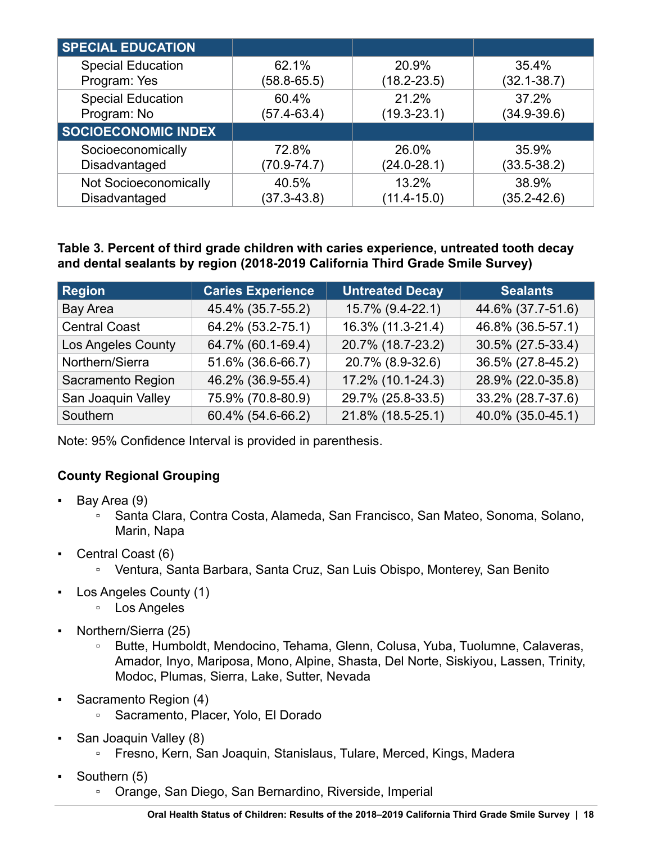<span id="page-17-0"></span>

| <b>SPECIAL EDUCATION</b>   |                 |                 |                 |
|----------------------------|-----------------|-----------------|-----------------|
| <b>Special Education</b>   | 62.1%           | 20.9%           | 35.4%           |
| Program: Yes               | $(58.8 - 65.5)$ | $(18.2 - 23.5)$ | $(32.1 - 38.7)$ |
| <b>Special Education</b>   | 60.4%           | 21.2%           | 37.2%           |
| Program: No                | $(57.4 - 63.4)$ | $(19.3 - 23.1)$ | $(34.9 - 39.6)$ |
| <b>SOCIOECONOMIC INDEX</b> |                 |                 |                 |
| Socioeconomically          | 72.8%           | 26.0%           | 35.9%           |
| Disadvantaged              | $(70.9 - 74.7)$ | $(24.0 - 28.1)$ | $(33.5 - 38.2)$ |
| Not Socioeconomically      | 40.5%           | 13.2%           | 38.9%           |
| Disadvantaged              | $(37.3 - 43.8)$ | $(11.4 - 15.0)$ | $(35.2 - 42.6)$ |

**Table 3. Percent of third grade children with caries experience, untreated tooth decay and dental sealants by region (2018-2019 California Third Grade Smile Survey)** 

| <b>Region</b>             | <b>Caries Experience</b> | <b>Untreated Decay</b> | <b>Sealants</b>   |
|---------------------------|--------------------------|------------------------|-------------------|
| Bay Area                  | 45.4% (35.7-55.2)        | 15.7% (9.4-22.1)       | 44.6% (37.7-51.6) |
| <b>Central Coast</b>      | 64.2% (53.2-75.1)        | 16.3% (11.3-21.4)      | 46.8% (36.5-57.1) |
| <b>Los Angeles County</b> | 64.7% (60.1-69.4)        | 20.7% (18.7-23.2)      | 30.5% (27.5-33.4) |
| Northern/Sierra           | 51.6% (36.6-66.7)        | 20.7% (8.9-32.6)       | 36.5% (27.8-45.2) |
| Sacramento Region         | 46.2% (36.9-55.4)        | 17.2% (10.1-24.3)      | 28.9% (22.0-35.8) |
| San Joaquin Valley        | 75.9% (70.8-80.9)        | 29.7% (25.8-33.5)      | 33.2% (28.7-37.6) |
| Southern                  | 60.4% (54.6-66.2)        | 21.8% (18.5-25.1)      | 40.0% (35.0-45.1) |

Note: 95% Confidence Interval is provided in parenthesis.

### **County Regional Grouping**

- Bay Area (9)
	- Santa Clara, Contra Costa, Alameda, San Francisco, San Mateo, Sonoma, Solano, Marin, Napa
- Central Coast (6)
	- Ventura, Santa Barbara, Santa Cruz, San Luis Obispo, Monterey, San Benito
- Los Angeles County (1)
	- Los Angeles
- Northern/Sierra (25)
	- Butte, Humboldt, Mendocino, Tehama, Glenn, Colusa, Yuba, Tuolumne, Calaveras, Amador, Inyo, Mariposa, Mono, Alpine, Shasta, Del Norte, Siskiyou, Lassen, Trinity, Modoc, Plumas, Sierra, Lake, Sutter, Nevada
- Sacramento Region (4)
	- Sacramento, Placer, Yolo, El Dorado
- San Joaquin Valley (8)
	- Fresno, Kern, San Joaquin, Stanislaus, Tulare, Merced, Kings, Madera
- Southern (5)
	- Orange, San Diego, San Bernardino, Riverside, Imperial